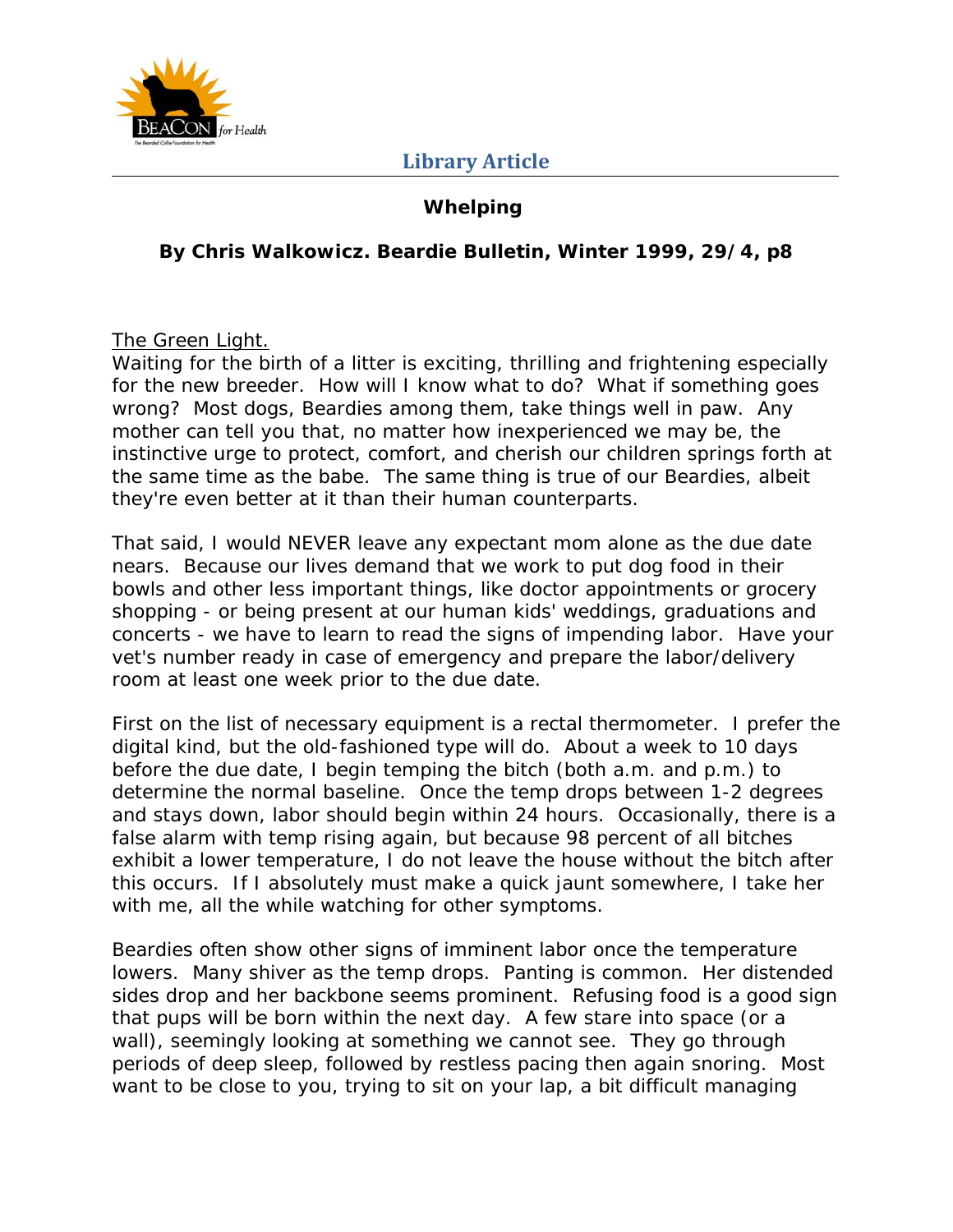

## **Whelping**

### **By Chris Walkowicz. Beardie Bulletin, Winter 1999, 29/4, p8**

The Green Light.

Waiting for the birth of a litter is exciting, thrilling and frightening especially for the new breeder. How will I know what to do? What if something goes wrong? Most dogs, Beardies among them, take things well in paw. Any mother can tell you that, no matter how inexperienced we may be, the instinctive urge to protect, comfort, and cherish our children springs forth at the same time as the babe. The same thing is true of our Beardies, albeit they're even better at it than their human counterparts.

That said, I would NEVER leave any expectant mom alone as the due date nears. Because our lives demand that we work to put dog food in their bowls and other less important things, like doctor appointments or grocery shopping - or being present at our human kids' weddings, graduations and concerts - we have to learn to read the signs of impending labor. Have your vet's number ready in case of emergency and prepare the labor/delivery room at least one week prior to the due date.

First on the list of necessary equipment is a rectal thermometer. I prefer the digital kind, but the old-fashioned type will do. About a week to 10 days before the due date, I begin temping the bitch (both a.m. and p.m.) to determine the normal baseline. Once the temp drops between 1-2 degrees and stays down, labor should begin within 24 hours. Occasionally, there is a false alarm with temp rising again, but because 98 percent of all bitches exhibit a lower temperature, I do not leave the house without the bitch after this occurs. If I absolutely must make a quick jaunt somewhere, I take her with me, all the while watching for other symptoms.

Beardies often show other signs of imminent labor once the temperature lowers. Many shiver as the temp drops. Panting is common. Her distended sides drop and her backbone seems prominent. Refusing food is a good sign that pups will be born within the next day. A few stare into space (or a wall), seemingly looking at something we cannot see. They go through periods of deep sleep, followed by restless pacing then again snoring. Most want to be close to you, trying to sit on your lap, a bit difficult managing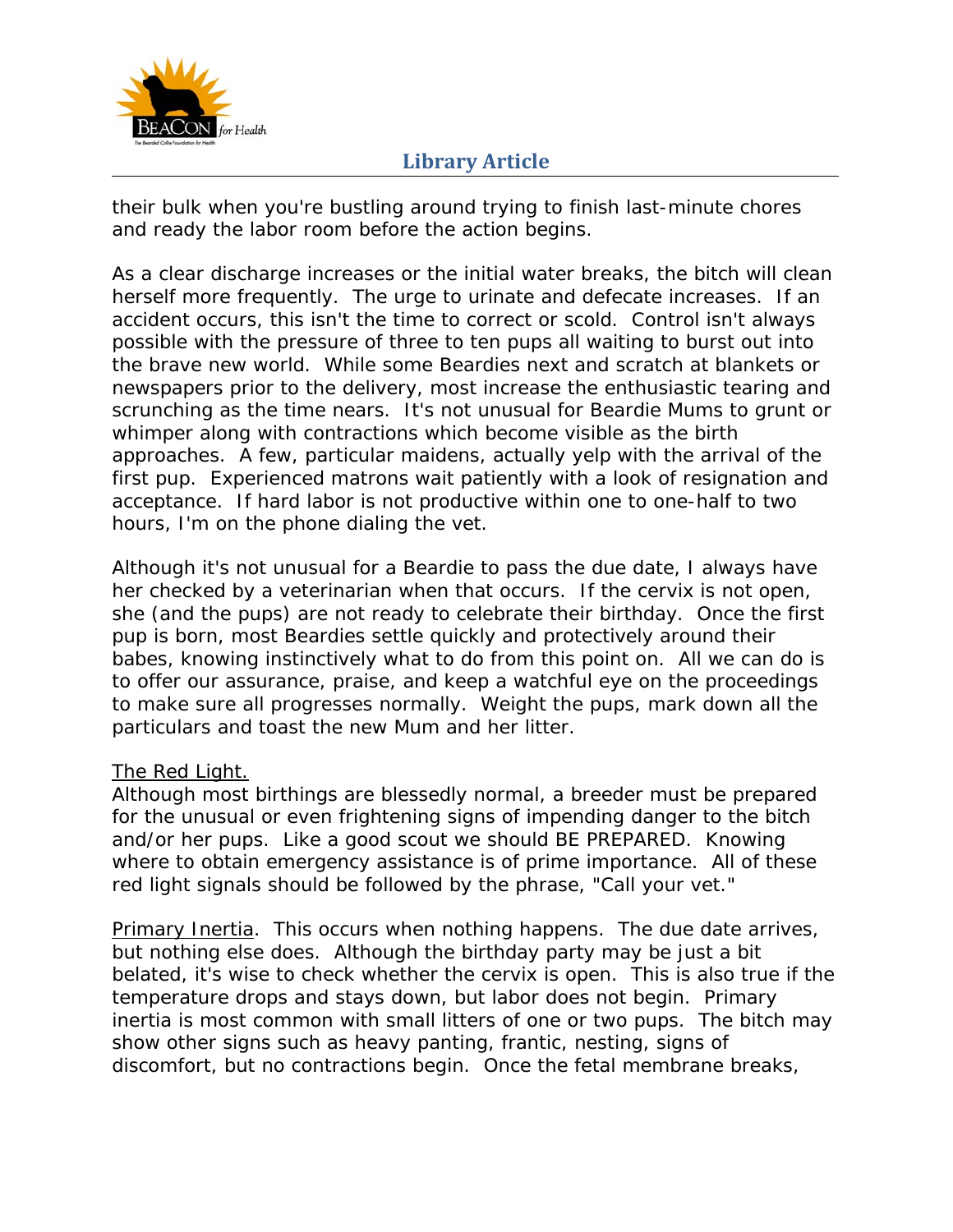

their bulk when you're bustling around trying to finish last-minute chores and ready the labor room before the action begins.

As a clear discharge increases or the initial water breaks, the bitch will clean herself more frequently. The urge to urinate and defecate increases. If an accident occurs, this isn't the time to correct or scold. Control isn't always possible with the pressure of three to ten pups all waiting to burst out into the brave new world. While some Beardies next and scratch at blankets or newspapers prior to the delivery, most increase the enthusiastic tearing and scrunching as the time nears. It's not unusual for Beardie Mums to grunt or whimper along with contractions which become visible as the birth approaches. A few, particular maidens, actually yelp with the arrival of the first pup. Experienced matrons wait patiently with a look of resignation and acceptance. If hard labor is not productive within one to one-half to two hours, I'm on the phone dialing the vet.

Although it's not unusual for a Beardie to pass the due date, I always have her checked by a veterinarian when that occurs. If the cervix is not open, she (and the pups) are not ready to celebrate their birthday. Once the first pup is born, most Beardies settle quickly and protectively around their babes, knowing instinctively what to do from this point on. All we can do is to offer our assurance, praise, and keep a watchful eye on the proceedings to make sure all progresses normally. Weight the pups, mark down all the particulars and toast the new Mum and her litter.

#### The Red Light.

Although most birthings are blessedly normal, a breeder must be prepared for the unusual or even frightening signs of impending danger to the bitch and/or her pups. Like a good scout we should BE PREPARED. Knowing where to obtain emergency assistance is of prime importance. All of these red light signals should be followed by the phrase, "Call your vet."

Primary Inertia. This occurs when nothing happens. The due date arrives, but nothing else does. Although the birthday party may be just a bit belated, it's wise to check whether the cervix is open. This is also true if the temperature drops and stays down, but labor does not begin. Primary inertia is most common with small litters of one or two pups. The bitch may show other signs such as heavy panting, frantic, nesting, signs of discomfort, but no contractions begin. Once the fetal membrane breaks,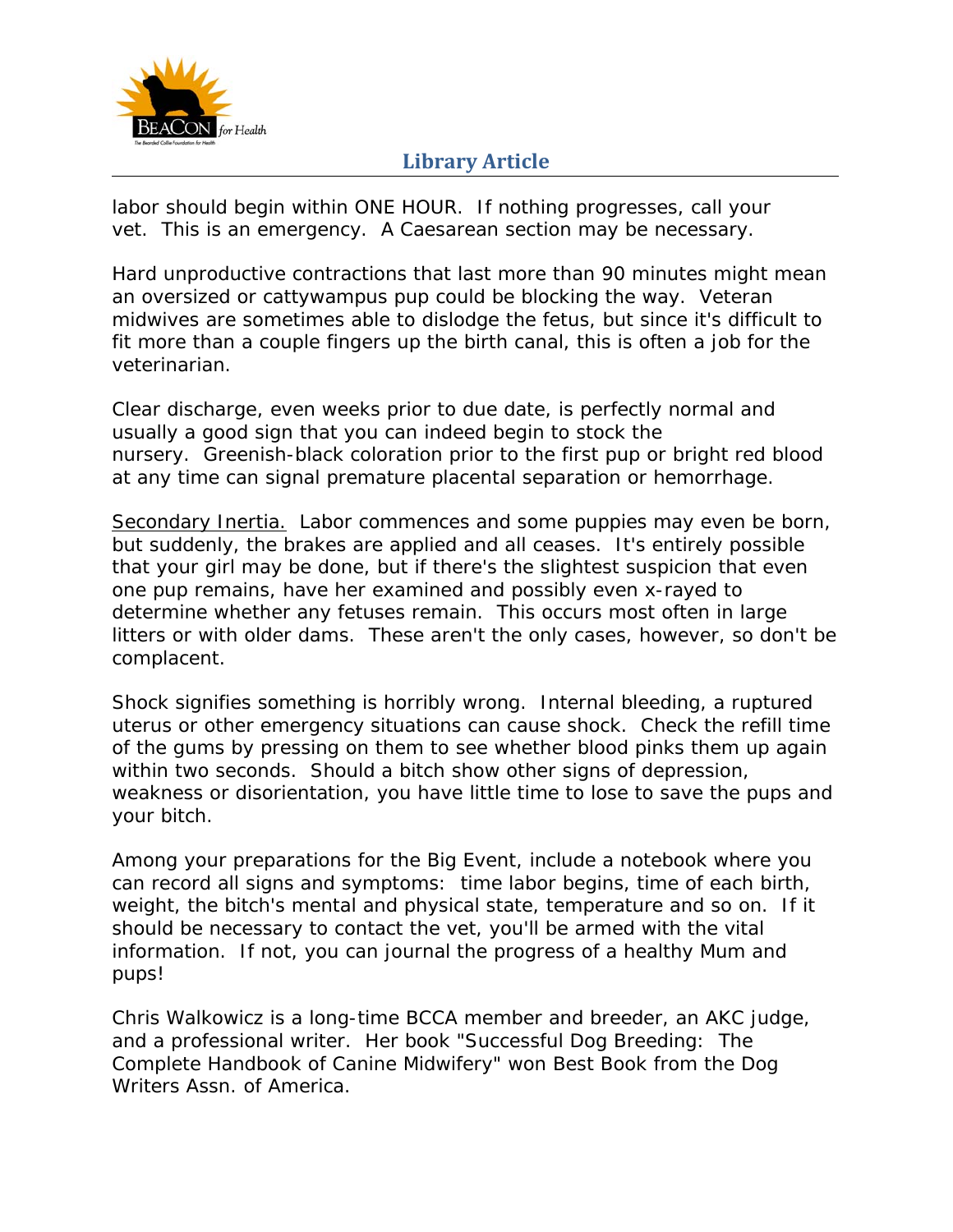

labor should begin within ONE HOUR. If nothing progresses, call your vet. This is an emergency. A Caesarean section may be necessary.

Hard unproductive contractions that last more than 90 minutes might mean an oversized or cattywampus pup could be blocking the way. Veteran midwives are sometimes able to dislodge the fetus, but since it's difficult to fit more than a couple fingers up the birth canal, this is often a job for the veterinarian.

Clear discharge, even weeks prior to due date, is perfectly normal and usually a good sign that you can indeed begin to stock the nursery. Greenish-black coloration prior to the first pup or bright red blood at any time can signal premature placental separation or hemorrhage.

Secondary Inertia. Labor commences and some puppies may even be born, but suddenly, the brakes are applied and all ceases. It's entirely possible that your girl may be done, but if there's the slightest suspicion that even one pup remains, have her examined and possibly even x-rayed to determine whether any fetuses remain. This occurs most often in large litters or with older dams. These aren't the only cases, however, so don't be complacent.

Shock signifies something is horribly wrong. Internal bleeding, a ruptured uterus or other emergency situations can cause shock. Check the refill time of the gums by pressing on them to see whether blood pinks them up again within two seconds. Should a bitch show other signs of depression, weakness or disorientation, you have little time to lose to save the pups and your bitch.

Among your preparations for the Big Event, include a notebook where you can record all signs and symptoms: time labor begins, time of each birth, weight, the bitch's mental and physical state, temperature and so on. If it should be necessary to contact the vet, you'll be armed with the vital information. If not, you can journal the progress of a healthy Mum and pups!

Chris Walkowicz is a long-time BCCA member and breeder, an AKC judge, and a professional writer. Her book "Successful Dog Breeding: The Complete Handbook of Canine Midwifery" won Best Book from the Dog Writers Assn. of America.